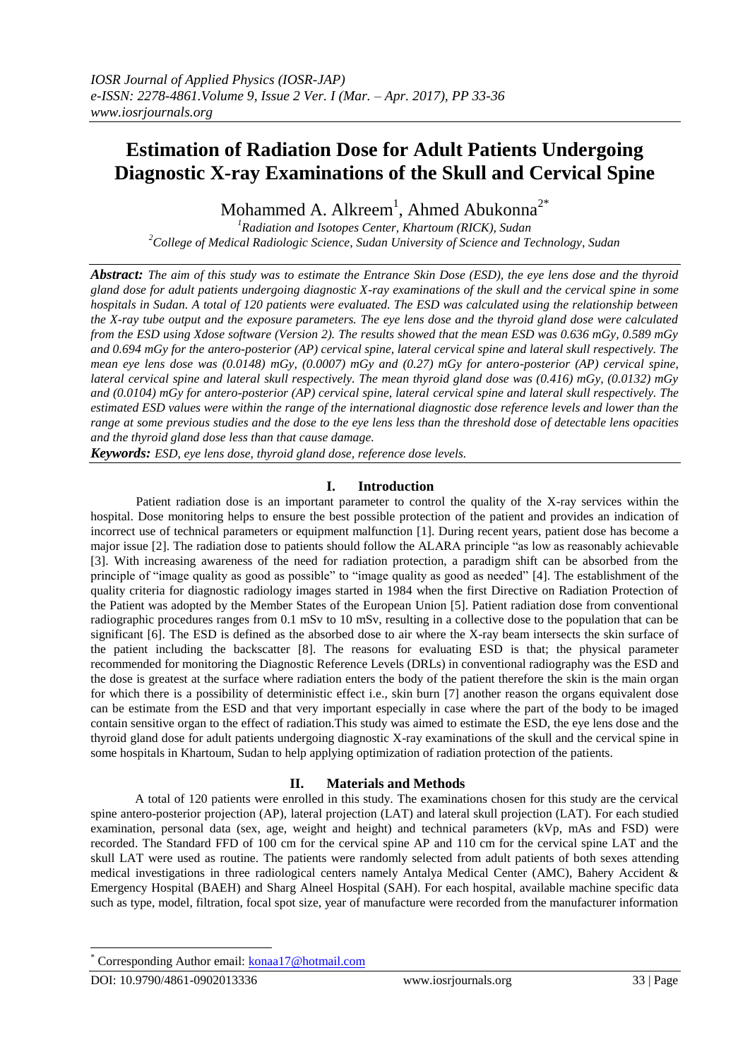# **Estimation of Radiation Dose for Adult Patients Undergoing Diagnostic X-ray Examinations of the Skull and Cervical Spine**

Mohammed A. Alkreem<sup>1</sup>, Ahmed Abukonna<sup>2\*</sup>

*<sup>1</sup>Radiation and Isotopes Center, Khartoum (RICK), Sudan <sup>2</sup>College of Medical Radiologic Science, Sudan University of Science and Technology, Sudan* 

*Abstract: The aim of this study was to estimate the Entrance Skin Dose (ESD), the eye lens dose and the thyroid gland dose for adult patients undergoing diagnostic X-ray examinations of the skull and the cervical spine in some hospitals in Sudan. A total of 120 patients were evaluated. The ESD was calculated using the relationship between the X-ray tube output and the exposure parameters. The eye lens dose and the thyroid gland dose were calculated from the ESD using Xdose software (Version 2). The results showed that the mean ESD was 0.636 mGy, 0.589 mGy and 0.694 mGy for the antero-posterior (AP) cervical spine, lateral cervical spine and lateral skull respectively. The mean eye lens dose was (0.0148) mGy, (0.0007) mGy and (0.27) mGy for antero-posterior (AP) cervical spine, lateral cervical spine and lateral skull respectively. The mean thyroid gland dose was (0.416) mGy, (0.0132) mGy and (0.0104) mGy for antero-posterior (AP) cervical spine, lateral cervical spine and lateral skull respectively. The estimated ESD values were within the range of the international diagnostic dose reference levels and lower than the range at some previous studies and the dose to the eye lens less than the threshold dose of detectable lens opacities and the thyroid gland dose less than that cause damage.*

*Keywords: ESD, eye lens dose, thyroid gland dose, reference dose levels.*

## **I. Introduction**

Patient radiation dose is an important parameter to control the quality of the X-ray services within the hospital. Dose monitoring helps to ensure the best possible protection of the patient and provides an indication of incorrect use of technical parameters or equipment malfunction [1]. During recent years, patient dose has become a major issue [2]. The radiation dose to patients should follow the ALARA principle "as low as reasonably achievable [3]. With increasing awareness of the need for radiation protection, a paradigm shift can be absorbed from the principle of "image quality as good as possible" to "image quality as good as needed" [4]. The establishment of the quality criteria for diagnostic radiology images started in 1984 when the first Directive on Radiation Protection of the Patient was adopted by the Member States of the European Union [5]. Patient radiation dose from conventional radiographic procedures ranges from 0.1 mSv to 10 mSv, resulting in a collective dose to the population that can be significant [6]. The ESD is defined as the absorbed dose to air where the X-ray beam intersects the skin surface of the patient including the backscatter [8]. The reasons for evaluating ESD is that; the physical parameter recommended for monitoring the Diagnostic Reference Levels (DRLs) in conventional radiography was the ESD and the dose is greatest at the surface where radiation enters the body of the patient therefore the skin is the main organ for which there is a possibility of deterministic effect i.e., skin burn [7] another reason the organs equivalent dose can be estimate from the ESD and that very important especially in case where the part of the body to be imaged contain sensitive organ to the effect of radiation.This study was aimed to estimate the ESD, the eye lens dose and the thyroid gland dose for adult patients undergoing diagnostic X-ray examinations of the skull and the cervical spine in some hospitals in Khartoum, Sudan to help applying optimization of radiation protection of the patients.

## **II. Materials and Methods**

A total of 120 patients were enrolled in this study. The examinations chosen for this study are the cervical spine antero-posterior projection (AP), lateral projection (LAT) and lateral skull projection (LAT). For each studied examination, personal data (sex, age, weight and height) and technical parameters (kVp, mAs and FSD) were recorded. The Standard FFD of 100 cm for the cervical spine AP and 110 cm for the cervical spine LAT and the skull LAT were used as routine. The patients were randomly selected from adult patients of both sexes attending medical investigations in three radiological centers namely Antalya Medical Center (AMC), Bahery Accident & Emergency Hospital (BAEH) and Sharg Alneel Hospital (SAH). For each hospital, available machine specific data such as type, model, filtration, focal spot size, year of manufacture were recorded from the manufacturer information

1

Corresponding Author email: [konaa17@hotmail.com](mailto:konaa17@hotmail.com)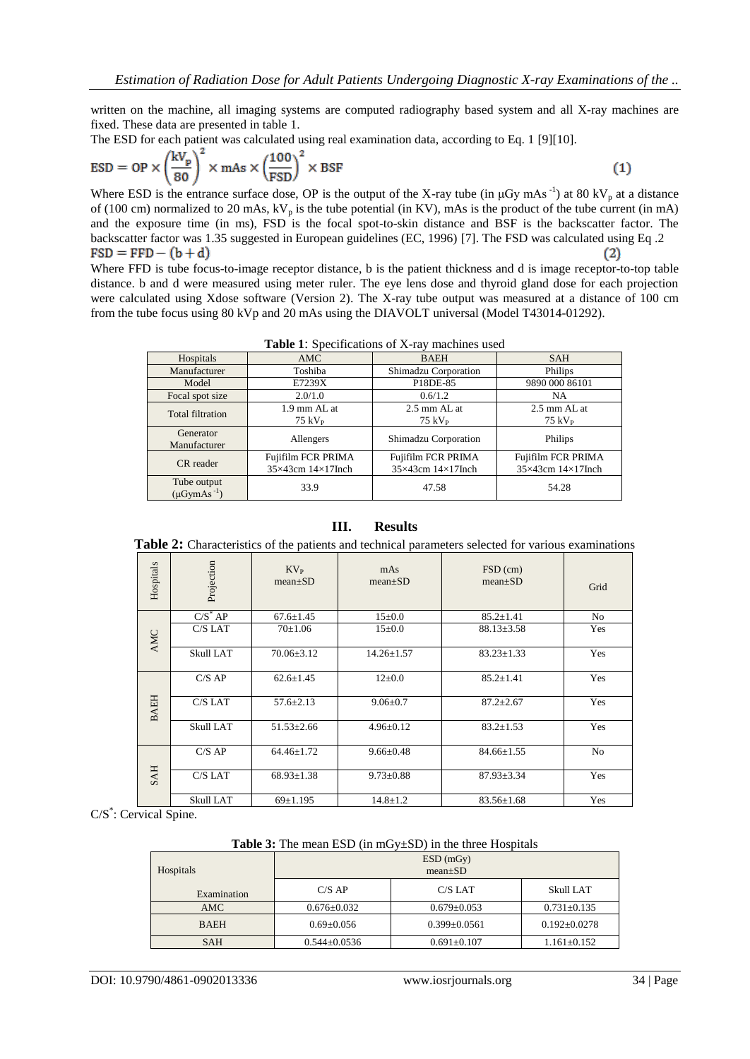written on the machine, all imaging systems are computed radiography based system and all X-ray machines are fixed. These data are presented in table 1.

The ESD for each patient was calculated using real examination data, according to Eq. 1 [9][10].

$$
ESD = OP \times \left(\frac{kV_p}{80}\right)^2 \times mAs \times \left(\frac{100}{FSD}\right)^2 \times BSF
$$
 (1)

Where ESD is the entrance surface dose, OP is the output of the X-ray tube (in  $\mu$ Gy mAs<sup>-1</sup>) at 80 kV<sub>p</sub> at a distance of (100 cm) normalized to 20 mAs,  $kV_p$  is the tube potential (in KV), mAs is the product of the tube current (in mA) and the exposure time (in ms), FSD is the focal spot-to-skin distance and BSF is the backscatter factor. The backscatter factor was 1.35 suggested in European guidelines (EC, 1996) [7]. The FSD was calculated using Eq .2  $FSD = FFD - (b + d)$  $(2)$ 

Where FFD is tube focus-to-image receptor distance, b is the patient thickness and d is image receptor-to-top table distance. b and d were measured using meter ruler. The eye lens dose and thyroid gland dose for each projection were calculated using Xdose software (Version 2). The X-ray tube output was measured at a distance of 100 cm from the tube focus using 80 kVp and 20 mAs using the DIAVOLT universal (Model T43014-01292).

|                                   |                                   | <b>Table 1:</b> Specifications of X-ray machines used |                                   |
|-----------------------------------|-----------------------------------|-------------------------------------------------------|-----------------------------------|
| Hospitals                         | AMC                               | <b>BAEH</b>                                           | <b>SAH</b>                        |
| Manufacturer                      | Toshiba                           | Shimadzu Corporation                                  | Philips                           |
| Model                             | E7239X                            | P18DE-85                                              | 9890 000 86101                    |
| Focal spot size                   | 2.0/1.0                           | 0.6/1.2                                               | <b>NA</b>                         |
| Total filtration                  | $1.9$ mm AL at                    | $2.5$ mm AL at                                        | $2.5$ mm AL at                    |
|                                   | 75 kV <sub>P</sub>                | $75 \text{ kVp}$                                      | $75 \text{ kVp}$                  |
| Generator<br>Manufacturer         | Allengers                         | Shimadzu Corporation                                  | Philips                           |
| CR reader                         | <b>Fujifilm FCR PRIMA</b>         | Fujifilm FCR PRIMA                                    | Fujifilm FCR PRIMA                |
|                                   | $35\times43$ cm $14\times17$ Inch | $35\times43$ cm $14\times17$ Inch                     | $35\times43$ cm $14\times17$ Inch |
| Tube output<br>$(\mu GVMAs^{-1})$ | 33.9                              | 47.58                                                 | 54.28                             |

**Table 1**: Specifications of X-ray machines used

#### **III. Results**

**Table 2:** Characteristics of the patients and technical parameters selected for various examinations

| Hospitals   | Projection       | $KV_{P}$<br>$mean+SD$ | mAs<br>$mean \pm SD$ | FSD (cm)<br>$mean \pm SD$ | Grid           |
|-------------|------------------|-----------------------|----------------------|---------------------------|----------------|
|             | $C/S^*AP$        | $67.6 \pm 1.45$       | $15 \pm 0.0$         | $85.2 \pm 1.41$           | N <sub>o</sub> |
| AMC         | $C/S$ LAT        | $70+1.06$             | $15 \pm 0.0$         | $88.13 \pm 3.58$          | Yes            |
|             | <b>Skull LAT</b> | $70.06 \pm 3.12$      | $14.26 \pm 1.57$     | $83.23 \pm 1.33$          | Yes            |
|             | $C/S$ AP         | $62.6 \pm 1.45$       | $12{\pm}0.0$         | $85.2 \pm 1.41$           | Yes            |
| <b>BAEH</b> | $C/S$ LAT        | $57.6 \pm 2.13$       | $9.06 \pm 0.7$       | $87.2 \pm 2.67$           | Yes            |
|             | Skull LAT        | $51.53 \pm 2.66$      | $4.96 \pm 0.12$      | $83.2 \pm 1.53$           | Yes            |
|             | $C/S$ AP         | $64.46 + 1.72$        | $9.66 \pm 0.48$      | $84.66 \pm 1.55$          | N <sub>o</sub> |
| <b>SAH</b>  | $C/S$ LAT        | $68.93 \pm 1.38$      | $9.73 \pm 0.88$      | $87.93 \pm 3.34$          | Yes            |
|             | <b>Skull LAT</b> | $69 \pm 1.195$        | $14.8 \pm 1.2$       | $83.56 \pm 1.68$          | Yes            |

C/S\* : Cervical Spine.

## **Table 3:** The mean ESD (in mGy±SD) in the three Hospitals

| Hospitals   |                    | ESD(mGy)<br>$mean \pm SD$ |                    |
|-------------|--------------------|---------------------------|--------------------|
| Examination | $C/S$ AP           | $C/S$ LAT                 | Skull LAT          |
| AMC         | $0.676 \pm 0.032$  | $0.679 \pm 0.053$         | $0.731 \pm 0.135$  |
| <b>BAEH</b> | $0.69 \pm 0.056$   | $0.399 \pm 0.0561$        | $0.192 \pm 0.0278$ |
| <b>SAH</b>  | $0.544 \pm 0.0536$ | $0.691 \pm 0.107$         | $1.161 \pm 0.152$  |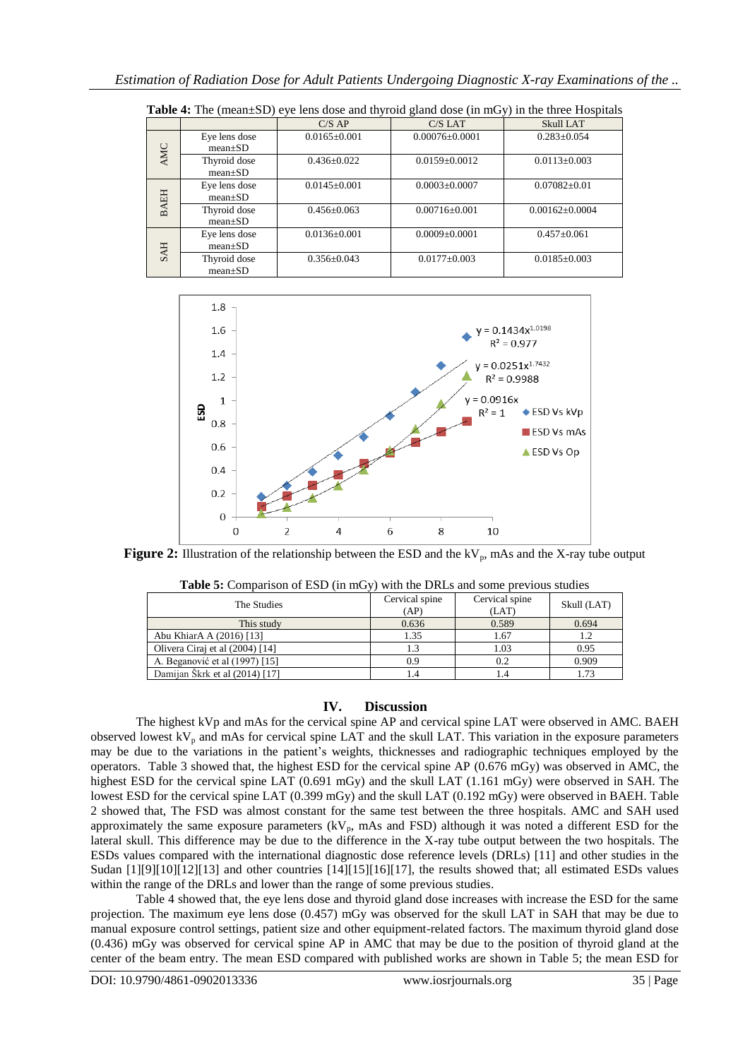|             |               |                    |                      | J /                  |
|-------------|---------------|--------------------|----------------------|----------------------|
|             |               | $C/S$ AP           | $C/S$ LAT            | <b>Skull LAT</b>     |
|             | Eye lens dose | $0.0165 \pm 0.001$ | $0.00076 \pm 0.0001$ | $0.283 \pm 0.054$    |
| AMC         | $mean+SD$     |                    |                      |                      |
|             | Thyroid dose  | $0.436 + 0.022$    | $0.0159 \pm 0.0012$  | $0.0113 \pm 0.003$   |
|             | $mean \pm SD$ |                    |                      |                      |
|             | Eye lens dose | $0.0145 \pm 0.001$ | $0.0003 \pm 0.0007$  | $0.07082 \pm 0.01$   |
|             | $mean+SD$     |                    |                      |                      |
| <b>BAEH</b> | Thyroid dose  | $0.456 \pm 0.063$  | $0.00716 \pm 0.001$  | $0.00162 \pm 0.0004$ |
|             | $mean \pm SD$ |                    |                      |                      |
|             | Eye lens dose | $0.0136 \pm 0.001$ | $0.0009 \pm 0.0001$  | $0.457 \pm 0.061$    |
| <b>SAH</b>  | $mean \pm SD$ |                    |                      |                      |
|             | Thyroid dose  | $0.356 \pm 0.043$  | $0.0177 \pm 0.003$   | $0.0185 \pm 0.003$   |
|             | $mean \pm SD$ |                    |                      |                      |

**Table 4:** The (mean $\pm$ SD) eye lens dose and thyroid gland dose (in mGy) in the three Hospitals



**Figure 2:** Illustration of the relationship between the ESD and the kV<sub>p</sub>, mAs and the X-ray tube output

| <b>Table 5:</b> Comparison of ESD (in mov) with the DKLs and some previous studies |                        |                         |             |
|------------------------------------------------------------------------------------|------------------------|-------------------------|-------------|
| The Studies                                                                        | Cervical spine<br>(AP) | Cervical spine<br>(LAT) | Skull (LAT) |
| This study                                                                         | 0.636                  | 0.589                   | 0.694       |
| Abu KhiarA A (2016) [13]                                                           | 1.35                   | 1.67                    | 1.2         |
| Olivera Ciraj et al (2004) [14]                                                    | 1.3                    | 1.03                    | 0.95        |
| A. Beganović et al (1997) [15]                                                     | 0.9                    | 0.2                     | 0.909       |
| Damijan Škrk et al (2014) [17]                                                     | 1.4                    | l .4                    | 1.73        |

|--|

## **IV. Discussion**

The highest kVp and mAs for the cervical spine AP and cervical spine LAT were observed in AMC. BAEH observed lowest  $kV_p$  and mAs for cervical spine LAT and the skull LAT. This variation in the exposure parameters may be due to the variations in the patient's weights, thicknesses and radiographic techniques employed by the operators. Table 3 showed that, the highest ESD for the cervical spine AP (0.676 mGy) was observed in AMC, the highest ESD for the cervical spine LAT (0.691 mGy) and the skull LAT (1.161 mGy) were observed in SAH. The lowest ESD for the cervical spine LAT (0.399 mGy) and the skull LAT (0.192 mGy) were observed in BAEH. Table 2 showed that, The FSD was almost constant for the same test between the three hospitals. AMC and SAH used approximately the same exposure parameters  $(kV_p)$ , mAs and FSD) although it was noted a different ESD for the lateral skull. This difference may be due to the difference in the X-ray tube output between the two hospitals. The ESDs values compared with the international diagnostic dose reference levels (DRLs) [11] and other studies in the Sudan  $[1][9][10][12][13]$  and other countries  $[14][15][16][17]$ , the results showed that; all estimated ESDs values within the range of the DRLs and lower than the range of some previous studies.

Table 4 showed that, the eye lens dose and thyroid gland dose increases with increase the ESD for the same projection. The maximum eye lens dose (0.457) mGy was observed for the skull LAT in SAH that may be due to manual exposure control settings, patient size and other equipment-related factors. The maximum thyroid gland dose (0.436) mGy was observed for cervical spine AP in AMC that may be due to the position of thyroid gland at the center of the beam entry. The mean ESD compared with published works are shown in Table 5; the mean ESD for